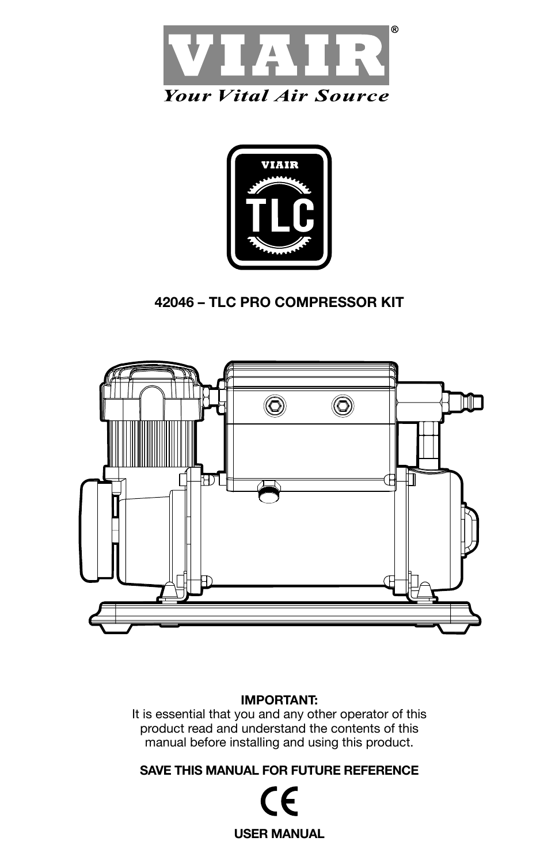





### **IMPORTANT:**

It is essential that you and any other operator of this product read and understand the contents of this manual before installing and using this product.

**SAVE THIS MANUAL FOR FUTURE REFERENCE**

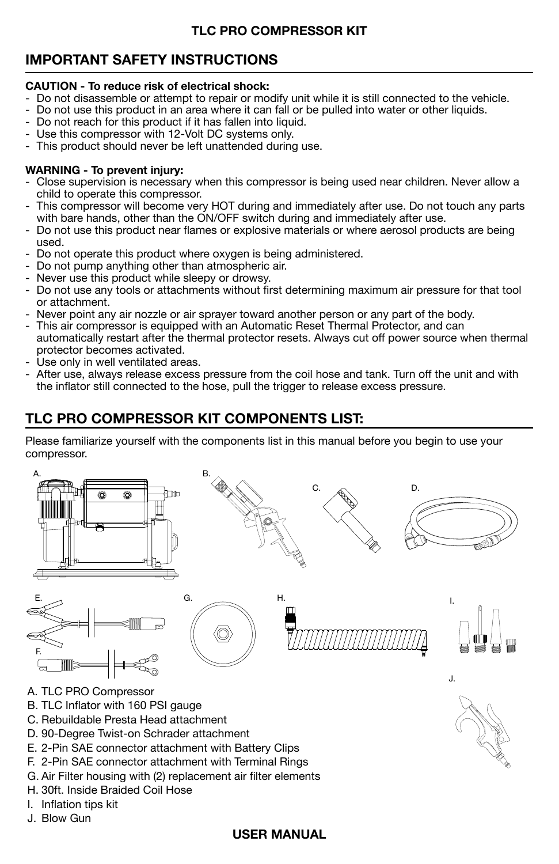## **IMPORTANT SAFETY INSTRUCTIONS**

#### **CAUTION - To reduce risk of electrical shock:**

- Do not disassemble or attempt to repair or modify unit while it is still connected to the vehicle.
- Do not use this product in an area where it can fall or be pulled into water or other liquids.
- Do not reach for this product if it has fallen into liquid.
- Use this compressor with 12-Volt DC systems only.
- This product should never be left unattended during use.

#### **WARNING - To prevent injury:**

- Close supervision is necessary when this compressor is being used near children. Never allow a child to operate this compressor.
- This compressor will become very HOT during and immediately after use. Do not touch any parts with bare hands, other than the ON/OFF switch during and immediately after use.
- Do not use this product near flames or explosive materials or where aerosol products are being used.
- Do not operate this product where oxygen is being administered.
- Do not pump anything other than atmospheric air.
- Never use this product while sleepy or drowsy.
- Do not use any tools or attachments without first determining maximum air pressure for that tool or attachment.
- Never point any air nozzle or air sprayer toward another person or any part of the body.
- This air compressor is equipped with an Automatic Reset Thermal Protector, and can automatically restart after the thermal protector resets. Always cut off power source when thermal protector becomes activated.
- Use only in well ventilated areas.
- After use, always release excess pressure from the coil hose and tank. Turn off the unit and with the inflator still connected to the hose, pull the trigger to release excess pressure.

## **TLC PRO COMPRESSOR KIT COMPONENTS LIST:**

Please familiarize yourself with the components list in this manual before you begin to use your compressor.

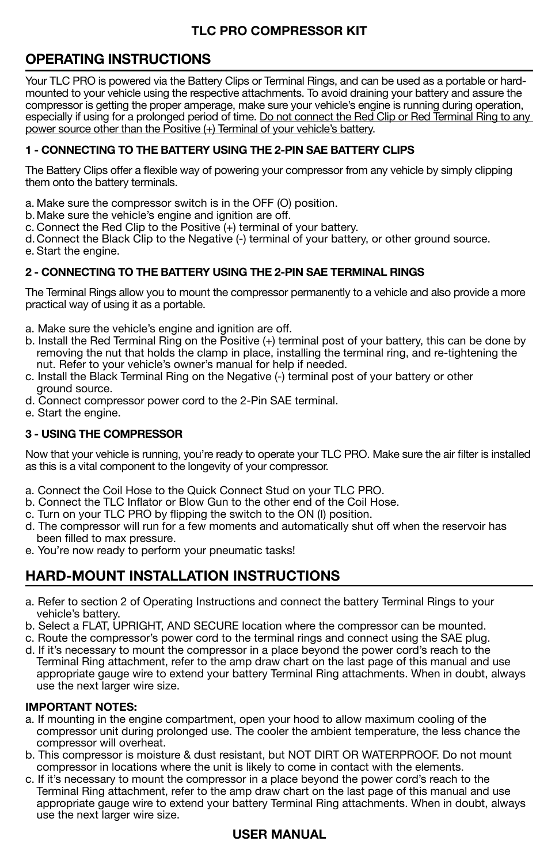## **OPERATING INSTRUCTIONS**

Your TLC PRO is powered via the Battery Clips or Terminal Rings, and can be used as a portable or hardmounted to your vehicle using the respective attachments. To avoid draining your battery and assure the compressor is getting the proper amperage, make sure your vehicle's engine is running during operation, especially if using for a prolonged period of time. Do not connect the Red Clip or Red Terminal Ring to any power source other than the Positive (+) Terminal of your vehicle's battery.

#### **1 - CONNECTING TO THE BATTERY USING THE 2-PIN SAE BATTERY CLIPS**

The Battery Clips offer a flexible way of powering your compressor from any vehicle by simply clipping them onto the battery terminals.

- a. Make sure the compressor switch is in the OFF (O) position.
- b. Make sure the vehicle's engine and ignition are off.
- c. Connect the Red Clip to the Positive (+) terminal of your battery.

d. Connect the Black Clip to the Negative (-) terminal of your battery, or other ground source. e. Start the engine.

#### **2 - CONNECTING TO THE BATTERY USING THE 2-PIN SAE TERMINAL RINGS**

The Terminal Rings allow you to mount the compressor permanently to a vehicle and also provide a more practical way of using it as a portable.

- a. Make sure the vehicle's engine and ignition are off.
- b. Install the Red Terminal Ring on the Positive (+) terminal post of your battery, this can be done by removing the nut that holds the clamp in place, installing the terminal ring, and re-tightening the nut. Refer to your vehicle's owner's manual for help if needed.
- c. Install the Black Terminal Ring on the Negative (-) terminal post of your battery or other ground source.
- d. Connect compressor power cord to the 2-Pin SAE terminal.
- e. Start the engine.

#### **3 - USING THE COMPRESSOR**

Now that your vehicle is running, you're ready to operate your TLC PRO. Make sure the air filter is installed as this is a vital component to the longevity of your compressor.

- a. Connect the Coil Hose to the Quick Connect Stud on your TLC PRO.
- b. Connect the TLC Inflator or Blow Gun to the other end of the Coil Hose.
- c. Turn on your TLC PRO by flipping the switch to the ON (I) position.
- d. The compressor will run for a few moments and automatically shut off when the reservoir has been filled to max pressure.
- e. You're now ready to perform your pneumatic tasks!

## **HARD-MOUNT INSTALLATION INSTRUCTIONS**

- a. Refer to section 2 of Operating Instructions and connect the battery Terminal Rings to your vehicle's battery.
- b. Select a FLAT, UPRIGHT, AND SECURE location where the compressor can be mounted.
- c. Route the compressor's power cord to the terminal rings and connect using the SAE plug.
- d. If it's necessary to mount the compressor in a place beyond the power cord's reach to the Terminal Ring attachment, refer to the amp draw chart on the last page of this manual and use appropriate gauge wire to extend your battery Terminal Ring attachments. When in doubt, always use the next larger wire size.

#### **IMPORTANT NOTES:**

- a. If mounting in the engine compartment, open your hood to allow maximum cooling of the compressor unit during prolonged use. The cooler the ambient temperature, the less chance the compressor will overheat.
- b. This compressor is moisture & dust resistant, but NOT DIRT OR WATERPROOF. Do not mount compressor in locations where the unit is likely to come in contact with the elements.
- c. If it's necessary to mount the compressor in a place beyond the power cord's reach to the Terminal Ring attachment, refer to the amp draw chart on the last page of this manual and use appropriate gauge wire to extend your battery Terminal Ring attachments. When in doubt, always use the next larger wire size.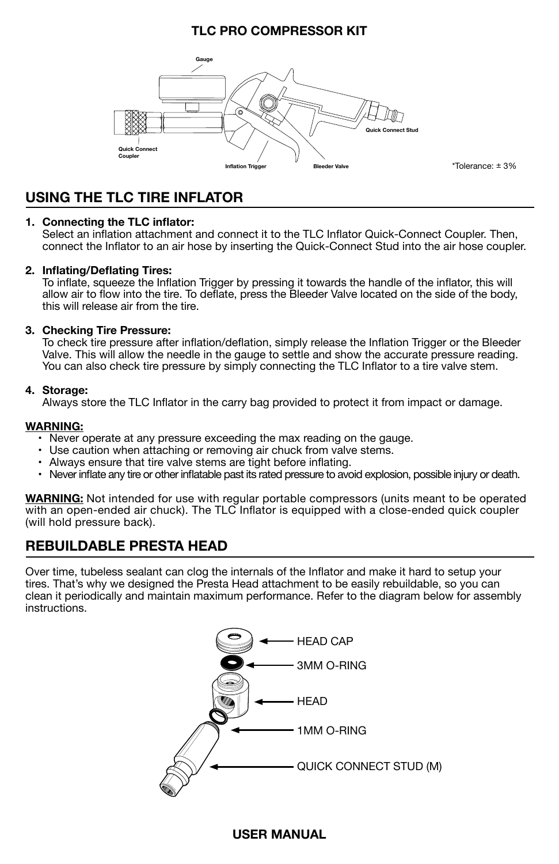

\*Tolerance: ± 3%

## **USING THE TLC TIRE INFLATOR**

#### **1. Connecting the TLC inflator:**

Select an inflation attachment and connect it to the TLC Inflator Quick-Connect Coupler. Then, connect the Inflator to an air hose by inserting the Quick-Connect Stud into the air hose coupler.

#### **2. Inflating/Deflating Tires:**

To inflate, squeeze the Inflation Trigger by pressing it towards the handle of the inflator, this will allow air to flow into the tire. To deflate, press the Bleeder Valve located on the side of the body, this will release air from the tire.

#### **3. Checking Tire Pressure:**

To check tire pressure after inflation/deflation, simply release the Inflation Trigger or the Bleeder Valve. This will allow the needle in the gauge to settle and show the accurate pressure reading. You can also check tire pressure by simply connecting the TLC Inflator to a tire valve stem.

#### **4. Storage:**

Always store the TLC Inflator in the carry bag provided to protect it from impact or damage.

#### **WARNING:**

- Never operate at any pressure exceeding the max reading on the gauge.
- Use caution when attaching or removing air chuck from valve stems.
- Always ensure that tire valve stems are tight before inflating.
- Never inflate any tire or other inflatable past its rated pressure to avoid explosion, possible injury or death.

**WARNING:** Not intended for use with regular portable compressors (units meant to be operated with an open-ended air chuck). The TLC Inflator is equipped with a close-ended quick coupler (will hold pressure back).

## **REBUILDABLE PRESTA HEAD**

Over time, tubeless sealant can clog the internals of the Inflator and make it hard to setup your tires. That's why we designed the Presta Head attachment to be easily rebuildable, so you can clean it periodically and maintain maximum performance. Refer to the diagram below for assembly instructions.

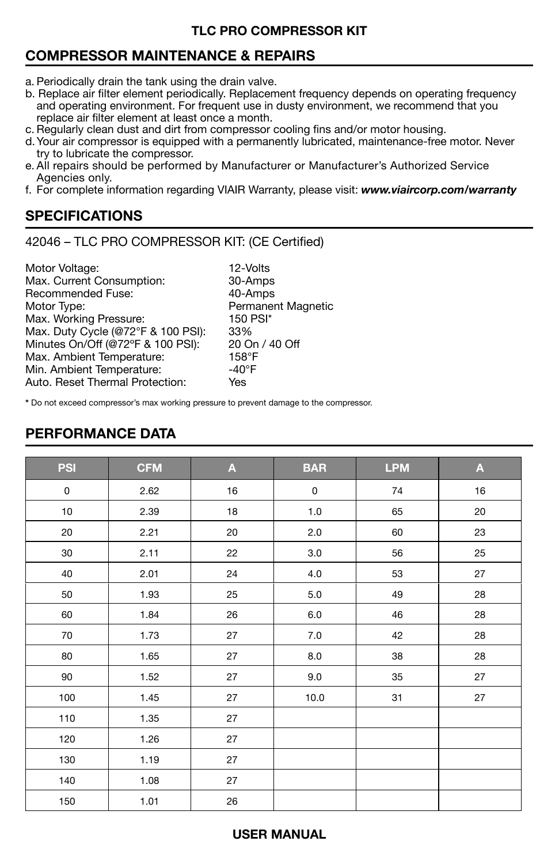## **COMPRESSOR MAINTENANCE & REPAIRS**

- a. Periodically drain the tank using the drain valve.
- b. Replace air filter element periodically. Replacement frequency depends on operating frequency and operating environment. For frequent use in dusty environment, we recommend that you replace air filter element at least once a month.
- c. Regularly clean dust and dirt from compressor cooling fins and/or motor housing.
- d.Your air compressor is equipped with a permanently lubricated, maintenance-free motor. Never try to lubricate the compressor.
- e. All repairs should be performed by Manufacturer or Manufacturer's Authorized Service Agencies only.
- f. For complete information regarding VIAIR Warranty, please visit: *www.viaircorp.com/warranty*

## **SPECIFICATIONS**

42046 – TLC PRO COMPRESSOR KIT: (CE Certified)

| Motor Voltage:                     | 12-Volts                  |
|------------------------------------|---------------------------|
| Max. Current Consumption:          | 30-Amps                   |
| Recommended Fuse:                  | 40-Amps                   |
| Motor Type:                        | <b>Permanent Magnetic</b> |
| Max. Working Pressure:             | 150 PSI*                  |
| Max. Duty Cycle (@72°F & 100 PSI): | 33%                       |
| Minutes On/Off (@72°F & 100 PSI):  | 20 On / 40 Off            |
| Max. Ambient Temperature:          | $158^\circ F$             |
| Min. Ambient Temperature:          | $-40^\circ F$             |
| Auto, Reset Thermal Protection:    | Yes                       |
|                                    |                           |

**\*** Do not exceed compressor's max working pressure to prevent damage to the compressor.

| <b>PSI</b> | <b>CFM</b> | A  | <b>BAR</b> | <b>LPM</b> | A  |
|------------|------------|----|------------|------------|----|
| 0          | 2.62       | 16 | $\pmb{0}$  | 74         | 16 |
| $10$       | 2.39       | 18 | $1.0$      | 65         | 20 |
| 20         | 2.21       | 20 | $2.0\,$    | 60         | 23 |
| 30         | 2.11       | 22 | 3.0        | 56         | 25 |
| 40         | 2.01       | 24 | $4.0$      | 53         | 27 |
| 50         | 1.93       | 25 | 5.0        | 49         | 28 |
| 60         | 1.84       | 26 | 6.0        | 46         | 28 |
| 70         | 1.73       | 27 | $7.0$      | 42         | 28 |
| 80         | 1.65       | 27 | 8.0        | 38         | 28 |
| 90         | 1.52       | 27 | 9.0        | 35         | 27 |
| 100        | 1.45       | 27 | 10.0       | 31         | 27 |
| 110        | 1.35       | 27 |            |            |    |
| 120        | 1.26       | 27 |            |            |    |
| 130        | 1.19       | 27 |            |            |    |
| 140        | 1.08       | 27 |            |            |    |
| 150        | 1.01       | 26 |            |            |    |

## **PERFORMANCE DATA**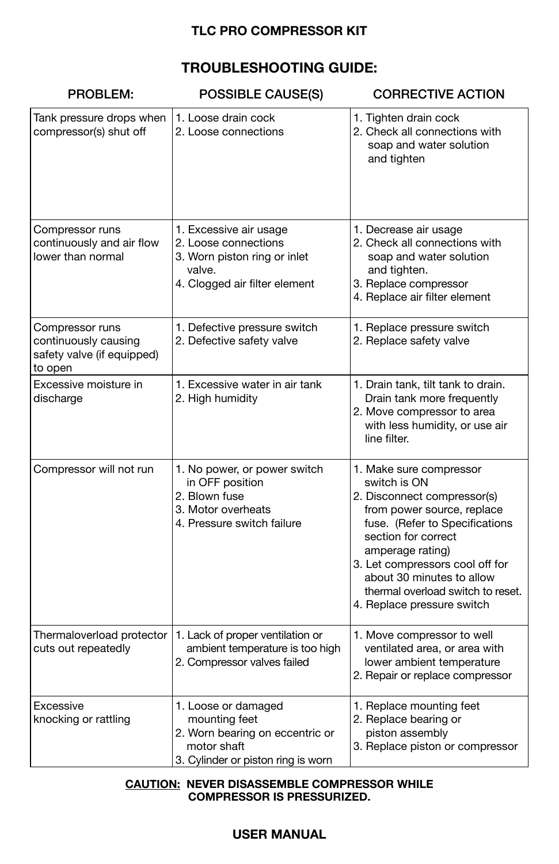## **TROUBLESHOOTING GUIDE:**

| PROBLEM:                                                                         | <b>POSSIBLE CAUSE(S)</b>                                                                                                     | <b>CORRECTIVE ACTION</b>                                                                                                                                                                                                                                                                                             |  |  |
|----------------------------------------------------------------------------------|------------------------------------------------------------------------------------------------------------------------------|----------------------------------------------------------------------------------------------------------------------------------------------------------------------------------------------------------------------------------------------------------------------------------------------------------------------|--|--|
| Tank pressure drops when<br>compressor(s) shut off                               | 1. Loose drain cock<br>2. Loose connections                                                                                  | 1. Tighten drain cock<br>2. Check all connections with<br>soap and water solution<br>and tighten                                                                                                                                                                                                                     |  |  |
| Compressor runs<br>continuously and air flow<br>lower than normal                | 1. Excessive air usage<br>2. Loose connections<br>3. Worn piston ring or inlet<br>valve.<br>4. Clogged air filter element    | 1. Decrease air usage<br>2. Check all connections with<br>soap and water solution<br>and tighten.<br>3. Replace compressor<br>4. Replace air filter element                                                                                                                                                          |  |  |
| Compressor runs<br>continuously causing<br>safety valve (if equipped)<br>to open | 1. Defective pressure switch<br>2. Defective safety valve                                                                    | 1. Replace pressure switch<br>2. Replace safety valve                                                                                                                                                                                                                                                                |  |  |
| Excessive moisture in<br>discharge                                               | 1. Excessive water in air tank<br>2. High humidity                                                                           | 1. Drain tank, tilt tank to drain.<br>Drain tank more frequently<br>2. Move compressor to area<br>with less humidity, or use air<br>line filter.                                                                                                                                                                     |  |  |
| Compressor will not run                                                          | 1. No power, or power switch<br>in OFF position<br>2. Blown fuse<br>3. Motor overheats<br>4. Pressure switch failure         | 1. Make sure compressor<br>switch is ON<br>2. Disconnect compressor(s)<br>from power source, replace<br>fuse. (Refer to Specifications<br>section for correct<br>amperage rating)<br>3. Let compressors cool off for<br>about 30 minutes to allow<br>thermal overload switch to reset.<br>4. Replace pressure switch |  |  |
| Thermaloverload protector<br>cuts out repeatedly                                 | 1. Lack of proper ventilation or<br>ambient temperature is too high<br>2. Compressor valves failed                           | 1. Move compressor to well<br>ventilated area, or area with<br>lower ambient temperature<br>2. Repair or replace compressor                                                                                                                                                                                          |  |  |
| Excessive<br>knocking or rattling                                                | 1. Loose or damaged<br>mounting feet<br>2. Worn bearing on eccentric or<br>motor shaft<br>3. Cylinder or piston ring is worn | 1. Replace mounting feet<br>2. Replace bearing or<br>piston assembly<br>3. Replace piston or compressor                                                                                                                                                                                                              |  |  |

#### **CAUTION: NEVER DISASSEMBLE COMPRESSOR WHILE COMPRESSOR IS PRESSURIZED.**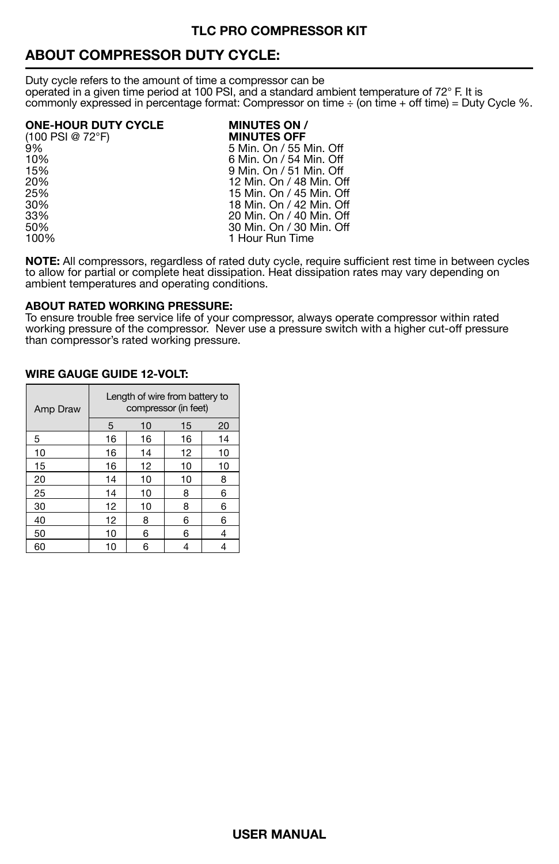## **ABOUT COMPRESSOR DUTY CYCLE:**

Duty cycle refers to the amount of time a compressor can be operated in a given time period at 100 PSI, and a standard ambient temperature of 72° F. It is commonly expressed in percentage format: Compressor on time  $\div$  (on time  $\div$  off time) = Duty Cycle %.

# **ONE-HOUR DUTY CYCLE MINUTES ON /**

- (100 PSI @ 72°F)<br>9%
- 9% 5 Min. On / 55 Min. Off 10% 6 Min. On / 54 Min. Off 15% 9 Min. On / 51 Min. Off 20% 20% 12 Min. On / 48 Min. Off<br>25% 15 Min. On / 45 Min. Off 25% 15 Min. On / 45 Min. Off 30% 18 Min. On / 42 Min. Off 33% 20 Min. On / 40 Min. Off 50% 30 Min. On / 30 Min. Off 100% 30 Min. Off 100% 1 Hour Run Time

**NOTE:** All compressors, regardless of rated duty cycle, require sufficient rest time in between cycles to allow for partial or complete heat dissipation. Heat dissipation rates may vary depending on ambient temperatures and operating conditions.

#### **ABOUT RATED WORKING PRESSURE:**

To ensure trouble free service life of your compressor, always operate compressor within rated working pressure of the compressor. Never use a pressure switch with a higher cut-off pressure than compressor's rated working pressure.

| Amp Draw | Length of wire from battery to<br>compressor (in feet) |    |    |    |
|----------|--------------------------------------------------------|----|----|----|
|          | 5                                                      | 10 | 15 | 20 |
| 5        | 16                                                     | 16 | 16 | 14 |
| 10       | 16                                                     | 14 | 12 | 10 |
| 15       | 16                                                     | 12 | 10 | 10 |
| 20       | 14                                                     | 10 | 10 | 8  |
| 25       | 14                                                     | 10 | 8  | 6  |
| 30       | 12                                                     | 10 | 8  | 6  |
| 40       | 12                                                     | 8  | 6  | 6  |
| 50       | 10                                                     | 6  | 6  | 4  |
| 60       | 10                                                     | 6  | 4  |    |

#### **WIRE GAUGE GUIDE 12-VOLT:**